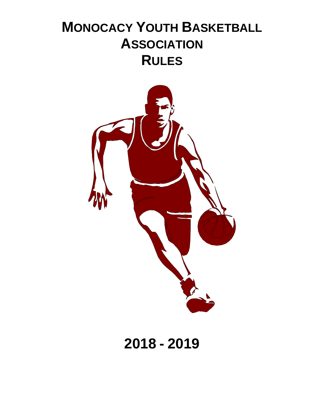# **MONOCACY YOUTH BASKETBALL ASSOCIATION RULES**



**2018 - 2019**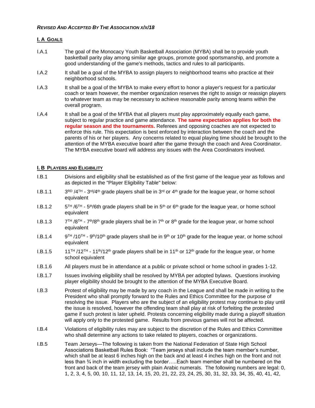# **I. A GOALS**

- I.A.1 The goal of the Monocacy Youth Basketball Association (MYBA) shall be to provide youth basketball parity play among similar age groups, promote good sportsmanship, and promote a good understanding of the game's methods, tactics and rules to all participants.
- I.A.2 It shall be a goal of the MYBA to assign players to neighborhood teams who practice at their neighborhood schools.
- I.A.3 It shall be a goal of the MYBA to make every effort to honor a player's request for a particular coach or team however, the member organization reserves the right to assign or reassign players to whatever team as may be necessary to achieve reasonable parity among teams within the overall program.
- I.A.4 It shall be a goal of the MYBA that all players must play approximately equally each game, subject to regular practice and game attendance. **The same expectation applies for both the regular season and the tournaments.** Referees and opposing coaches are not expected to enforce this rule. This expectation is best enforced by interaction between the coach and the parents of his or her players. Any concerns related to equal playing time should be brought to the attention of the MYBA executive board after the game through the coach and Area Coordinator. The MYBA executive board will address any issues with the Area Coordinators involved.

## **I. B PLAYERS AND ELIGIBILITY**

- I.B.1 Divisions and eligibility shall be established as of the first game of the league year as follows and as depicted in the "Player Eligibility Table" below:
- $I.B.1.1$  $R_{\rm D}$  /4<sup>TH</sup> - 3<sup>rd</sup>/4<sup>th</sup> grade players shall be in 3<sup>rd</sup> or 4<sup>th</sup> grade for the league year, or home school equivalent
- $I.B.1.2$  $^{TH}$  /6<sup>TH</sup> - 5<sup>th</sup>/6th grade players shall be in 5<sup>th</sup> or 6<sup>th</sup> grade for the league year, or home school equivalent
- $I.B.1.3$ <sup>TH</sup> /8<sup>TH</sup> - 7<sup>th</sup>/8<sup>th</sup> grade players shall be in 7<sup>th</sup> or 8<sup>th</sup> grade for the league year, or home school equivalent
- $I.B.1.4$ <sup>TH</sup> /10<sup>TH</sup> - 9<sup>th</sup>/10<sup>th</sup> grade players shall be in 9<sup>th</sup> or 10<sup>th</sup> grade for the league year, or home school equivalent
- I.B.1.5 11<sup>TH</sup> /12<sup>TH</sup> 11<sup>th</sup>/12<sup>th</sup> grade players shall be in 11<sup>th</sup> or 12<sup>th</sup> grade for the league year, or home school equivalent
- I.B.1.6 All players must be in attendance at a public or private school or home school in grades 1-12.
- I.B.1.7 Issues involving eligibility shall be resolved by MYBA per adopted bylaws. Questions involving player eligibility should be brought to the attention of the MYBA Executive Board.
- I.B.3 Protest of eligibility may be made by any coach in the League and shall be made in writing to the President who shall promptly forward to the Rules and Ethics Committee for the purpose of resolving the issue. Players who are the subject of an eligibility protest may continue to play until the issue is resolved, however the offending team shall play at risk of forfeiting the protested game if such protest is later upheld. Protests concerning eligibility made during a playoff situation will apply only to the protested game. Results from previous games will not be affected.
- I.B.4 Violations of eligibility rules may are subject to the discretion of the Rules and Ethics Committee who shall determine any actions to take related to players, coaches or organizations.
- I.B.5 Team Jerseys—The following is taken from the National Federation of State High School Associations Basketball Rules Book: "Team jerseys shall include the team member's number, which shall be at least 6 inches high on the back and at least 4 inches high on the front and not less than ¾ inch in width excluding the border…..Each team member shall be numbered on the front and back of the team jersey with plain Arabic numerals. The following numbers are legal: 0, 1, 2, 3, 4, 5, 00, 10, 11, 12, 13, 14, 15, 20, 21, 22, 23, 24, 25, 30, 31, 32, 33, 34, 35, 40, 41, 42,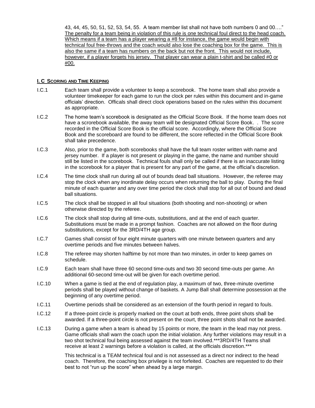43, 44, 45, 50, 51, 52, 53, 54, 55. A team member list shall not have both numbers 0 and 00…." The penalty for a team being in violation of this rule is one technical foul direct to the head coach. Which means if a team has a player wearing a #8 for instance, the game would begin with technical foul free-throws and the coach would also lose the coaching box for the game. This is also the same if a team has numbers on the back but not the front. This would not include, however, if a player forgets his jersey. That player can wear a plain t-shirt and be called #0 or #00.

#### **I. C SCORING AND TIME KEEPING**

- I.C.1 Each team shall provide a volunteer to keep a scorebook. The home team shall also provide a volunteer timekeeper for each game to run the clock per rules within this document and in-game officials' direction. Officals shall direct clock operations based on the rules within this document as appropriate.
- I.C.2 The home team's scorebook is designated as the Official Score Book. If the home team does not have a scrorebook available, the away team will be designated Official Score Book. .The score recorded in the Official Score Book is the official score. Accordingly, where the Official Score Book and the scoreboard are found to be different, the score reflected in the Official Score Book shall take precedence.
- I.C.3 Also, prior to the game, both scorebooks shall have the full team roster written with name and jersey number. If a player is not present or playing in the game, the name and number should still be listed in the scorebook. Technical fouls shall only be called if there is an inaccurate listing in the scorebook for a player that is present for any part of the game, at the official's discretion.
- I.C.4 The time clock shall run during all out of bounds dead ball situations. However, the referee may stop the clock when any inordinate delay occurs when returning the ball to play. During the final minute of each quarter and any over time period the clock shall stop for all out of bound and dead ball situations.
- I.C.5 The clock shall be stopped in all foul situations (both shooting and non-shooting) or when otherwise directed by the referee.
- I.C.6 The clock shall stop during all time-outs, substitutions, and at the end of each quarter. Substitutions must be made in a prompt fashion. Coaches are not allowed on the floor during substitutions, except for the 3RD/4TH age group.
- I.C.7 Games shall consist of four eight minute quarters with one minute between quarters and any overtime periods and five minutes between halves.
- I.C.8 The referee may shorten halftime by not more than two minutes, in order to keep games on schedule.
- I.C.9 Each team shall have three 60 second time-outs and two 30 second time-outs per game. An additional 60-second time-out will be given for each overtime period.
- I.C.10 When a game is tied at the end of regulation play, a maximum of two, three-minute overtime periods shall be played without change of baskets. A Jump Ball shall determine possession at the beginning of any overtime period.
- I.C.11 Overtime periods shall be considered as an extension of the fourth period in regard to fouls.
- I.C.12 If a three-point circle is properly marked on the court at both ends, three point shots shall be awarded. If a three-point circle is not present on the court, three point shots shall not be awarded.
- I.C.13 During a game when a team is ahead by 15 points or more, the team in the lead may not press. Game officials shall warn the coach upon the initial violation. Any further violations may result in a two shot technical foul being assessed against the team involved.\*\*\*3RD/4TH Teams shall receive at least 2 warnings before a violation is called, at the officials discretion.\*\*\*

This technical is a TEAM technical foul and is not assessed as a direct nor indirect to the head coach. Therefore, the coaching box privilege is not forfeited. Coaches are requested to do their best to not "run up the score" when ahead by a large margin.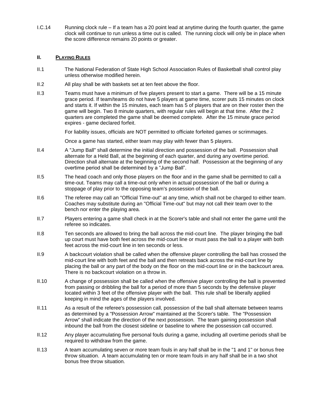I.C.14 Running clock rule – If a team has a 20 point lead at anytime during the fourth quarter, the game clock will continue to run unless a time out is called. The running clock will only be in place when the score difference remains 20 points or greater.

#### **II. PLAYING RULES**

- II.1 The National Federation of State High School Association Rules of Basketball shall control play unless otherwise modified herein.
- II.2 All play shall be with baskets set at ten feet above the floor.
- II.3 Teams must have a minimum of five players present to start a game. There will be a 15 minute grace period. If team/teams do not have 5 players at game time, scorer puts 15 minutes on clock and starts it. If within the 15 minutes, each team has 5 of players that are on their roster then the game will begin. Two 8 minute quarters, with regular rules will begin at that time. After the 2 quarters are completed the game shall be deemed complete. After the 15 minute grace period expires - game declared forfeit.

For liability issues, officials are NOT permitted to officiate forfeited games or scrimmages.

Once a game has started, either team may play with fewer than 5 players.

- II.4 A "Jump Ball" shall determine the initial direction and possession of the ball. Possession shall alternate for a Held Ball, at the beginning of each quarter, and during any overtime period. Direction shall alternate at the beginning of the second half. Possession at the beginning of any overtime period shall be determined by a "Jump Ball".
- II.5 The head coach and only those players on the floor and in the game shall be permitted to call a time-out. Teams may call a time-out only when in actual possession of the ball or during a stoppage of play prior to the opposing team's possession of the ball.
- II.6 The referee may call an "Official Time-out" at any time, which shall not be charged to either team. Coaches may substitute during an "Official Time-out" but may not call their team over to the bench nor enter the playing area.
- II.7 Players entering a game shall check in at the Scorer's table and shall not enter the game until the referee so indicates.
- II.8 Ten seconds are allowed to bring the ball across the mid-court line. The player bringing the ball up court must have both feet across the mid-court line or must pass the ball to a player with both feet across the mid-court line in ten seconds or less.
- II.9 A backcourt violation shall be called when the offensive player controlling the ball has crossed the mid-court line with both feet and the ball and then retreats back across the mid-court line by placing the ball or any part of the body on the floor on the mid-court line or in the backcourt area. There is no backcourt violation on a throw in.
- II.10 A change of possession shall be called when the offensive player controlling the ball is prevented from passing or dribbling the ball for a period of more than 5 seconds by the defensive player located within 3 feet of the offensive player with the ball. This rule shall be liberally applied keeping in mind the ages of the players involved.
- II.11 As a result of the referee's possession call, possession of the ball shall alternate between teams as determined by a "Possession Arrow" maintained at the Scorer's table. The "Possession Arrow" shall indicate the direction of the next possession. The team gaining possession shall inbound the ball from the closest sideline or baseline to where the possession call occurred.
- II.12 Any player accumulating five personal fouls during a game, including all overtime periods shall be required to withdraw from the game.
- II.13 A team accumulating seven or more team fouls in any half shall be in the "1 and 1" or bonus free throw situation. A team accumulating ten or more team fouls in any half shall be in a two shot bonus free throw situation.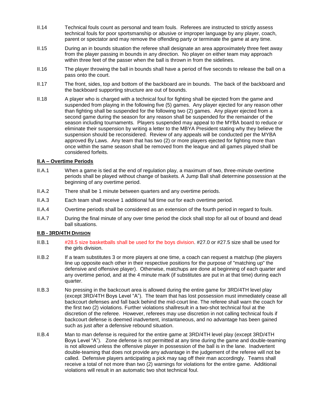- II.14 Technical fouls count as personal and team fouls. Referees are instructed to strictly assess technical fouls for poor sportsmanship or abusive or improper language by any player, coach, parent or spectator and may remove the offending party or terminate the game at any time.
- II.15 During an in bounds situation the referee shall designate an area approximately three feet away from the player passing in bounds in any direction. No player on either team may approach within three feet of the passer when the ball is thrown in from the sidelines.
- II.16 The player throwing the ball in bounds shall have a period of five seconds to release the ball on a pass onto the court.
- II.17 The front, sides, top and bottom of the backboard are in bounds. The back of the backboard and the backboard supporting structure are out of bounds.
- II.18 A player who is charged with a technical foul for fighting shall be ejected from the game and suspended from playing in the following five (5) games. Any player ejected for any reason other than fighting shall be suspended for the following two (2) games. Any player ejected from a second game during the season for any reason shall be suspended for the remainder of the season including tournaments. Players suspended may appeal to the MYBA board to reduce or eliminate their suspension by writing a letter to the MBYA President stating why they believe the suspension should be reconsidered. Review of any appeals will be conducted per the MYBA approved By Laws. Any team that has two (2) or more players ejected for fighting more than once within the same season shall be removed from the league and all games played shall be considered forfeits.

# **II.A – Overtime Periods**

- II.A.1 When a game is tied at the end of regulation play, a maximum of two, three-minute overtime periods shall be played without change of baskets. A Jump Ball shall determine possession at the beginning of any overtime period.
- II.A.2 There shall be 1 minute between quarters and any overtime periods.
- II.A.3 Each team shall receive 1 additional full time out for each overtime period.
- II.A.4 Overtime periods shall be considered as an extension of the fourth period in regard to fouls.
- II.A.7 During the final minute of any over time period the clock shall stop for all out of bound and dead ball situations.

#### **II.B - 3RD/4TH DIVISION**

- II.B.1 #28.5 size basketballs shall be used for the boys division. #27.0 or #27.5 size shall be used for the girls division.
- II.B.2 If a team substitutes 3 or more players at one time, a coach can request a matchup (the players line up opposite each other in their respective positions for the purpose of "matching up" the defensive and offensive player). Otherwise, matchups are done at beginning of each quarter and any overtime period, and at the 4 minute mark (if substitutes are put in at that time) during each quarter.
- II.B.3 No pressing in the backcourt area is allowed during the entire game for 3RD/4TH level play (except 3RD/4TH Boys Level "A"). The team that has lost possession must immediately cease all backcourt defenses and fall back behind the mid-court line. The referee shall warn the coach for the first two (2) violations. Further violations shallresult in a two-shot technical foul at the discretion of the referee. However, referees may use discretion in not calling technical fouls if backcourt defense is deemed inadvertent, instantaneous, and no advantage has been gained such as just after a defensive rebound situation.
- II.B.4 Man to man defense is required for the entire game at 3RD/4TH level play (except 3RD/4TH Boys Level "A"). Zone defense is not permitted at any time during the game and double-teaming is not allowed unless the offensive player in possession of the ball is in the lane. Inadvertent double-teaming that does not provide any advantage in the judgement of the referee will not be called. Defensive players anticipating a pick may sag off their man accordingly. Teams shall receive a total of not more than two (2) warnings for violations for the entire game. Additional violations will result in an automatic two shot technical foul.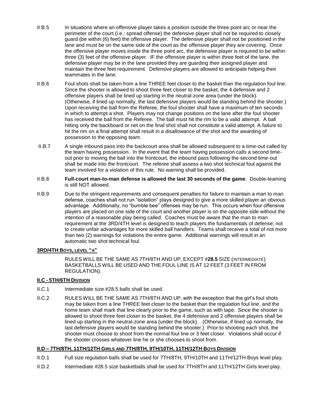- II.B.5 In situations where an offensive player takes a position outside the three point arc or near the perimeter of the court (i.e.: spread offense) the defensive player shall not be required to closely guard (be within (6) feet) the offensive player. The defensive player shall not be positioned in the lane and must be on the same side of the court as the offensive player they are covering. Once the offensive player moves inside the three point arc, the defensive player is required to be within three (3) feet of the offensive player. IF the offensive player is within three feet of the lane, the defensive player may be in the lane provided they are guarding their assigned player and maintain the three feet requirement. Defensive players are allowed to anticipate helping their teammates in the lane.
- II.B.6 Foul shots shall be taken from a line THREE feet closer to the basket than the regulation foul line. Since the shooter is allowed to shoot three feet closer to the basket, the 4 defensive and 2 offensive players shall be lined up starting in the neutral-zone area (under the block). (Otherwise, if lined up normally, the last defensive players would be standing behind the shooter.) Upon receiving the ball from the Referee, the foul shooter shall have a maximum of ten seconds in which to attempt a shot. Players may not change positions on the lane after the foul shooter has received the ball from the Referee. The ball must hit the rim to be a valid attempt. A ball hitting only the backboard or net on the final shot shall not constitute a valid attempt. A failure to hit the rim on a final attempt shall result in a disallowance of the shot and the awarding of possession to the opposing team.
- II.B.7 A single inbound pass into the backcourt area shall be allowed subsequent to a time-out called by the team having possession. In the event that the team having possession calls a second timeout prior to moving the ball into the frontcourt, the inbound pass following the second time-out shall be made into the frontcourt. The referee shall assess a two shot technical foul against the team involved for a violation of this rule. No warning shall be provided.
- II.B.8 **Full-court man-to-man defense is allowed the last 30 seconds of the game**. Double-teaming is still NOT allowed.
- II.B.9 Due to the stringent requirements and consequent penalties for failure to maintain a man to man defense, coaches shall not run "isolation" plays designed to give a more skilled player an obvious advantage. Additionally, no "bumble bee" offenses may be run. This occurs when four offensive players are placed on one side of the court and another player is on the opposite side without the intention of a reasonable play being called. Coaches must be aware that the man to man requirement at the 3RD/4TH level is designed to teach players the fundamentals of defense; not to create unfair advantages for more skilled ball handlers. Teams shall receive a total of not more than two (2) warnings for violations the entire game. Additional warnings will result in an automatic two shot technical foul.

# **3RD/4TH BOYS, LEVEL "A"**

RULES WILL BE THE SAME AS 7TH/8TH AND UP, EXCEPT #**28.5** SIZE (INTERMEDIATE) BASKETBALLS WILL BE USED AND THE FOUL LINE IS AT 12 FEET (3 FEET IN FROM REGULATION).

# **II.C - 5TH/6TH DIVISION**

- II.C.1 Intermediate size #28.5 balls shall be used.
- II.C.2 RULES WILL BE THE SAME AS 7TH/8TH AND UP, with the exception that the girl's foul shots may be taken from a line THREE feet closer to the basket than the regulation foul line, and the home team shall mark that line clearly prior to the game, such as with tape. Since the shooter is allowed to shoot three feet closer to the basket, the 4 defensive and 2 offensive players shall be lined up starting in the neutral-zone area (under the block). (Otherwise, if lined up normally, the last defensive players would be standing behind the shooter.) Prior to shooting each shot, the shooter must choose to shoot from the normal foul line or 3 feet closer. Violations shall occur if the shooter crosses whatever line he or she chooses to shoot from.

# **II.D – 7TH/8TH, 11TH/12TH GIRLS AND 7TH/8TH, 9TH/10TH, 11TH/12TH BOYS DIVISION**

- II.D.1 Full size regulation balls shall be used for 7TH/8TH, 9TH/10TH and 11TH/12TH Boys level play.
- II.D.2 Intermediate #28.5 size basketballs shall be used for 7TH/8TH and 11TH/12TH Girls level play.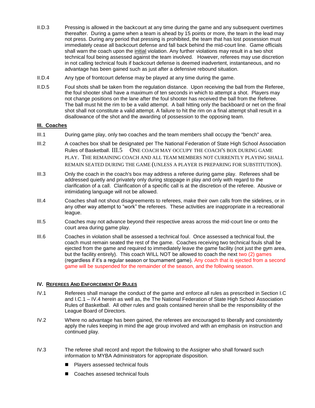- II.D.3 Pressing is allowed in the backcourt at any time during the game and any subsequent overtimes thereafter. During a game when a team is ahead by 15 points or more, the team in the lead may not press. During any period that pressing is prohibited, the team that has lost possession must immediately cease all backcourt defense and fall back behind the mid-court line. Game officials shall warn the coach upon the initial violation. Any further violations may result in a two shot technical foul being assessed against the team involved. However, referees may use discretion in not calling technical fouls if backcourt defense is deemed inadvertent, instantaneous, and no advantage has been gained such as just after a defensive rebound situation.
- II.D.4 Any type of frontcourt defense may be played at any time during the game.
- II.D.5 Foul shots shall be taken from the regulation distance. Upon receiving the ball from the Referee, the foul shooter shall have a maximum of ten seconds in which to attempt a shot. Players may not change positions on the lane after the foul shooter has received the ball from the Referee. The ball must hit the rim to be a valid attempt. A ball hitting only the backboard or net on the final shot shall not constitute a valid attempt. A failure to hit the rim on a final attempt shall result in a disallowance of the shot and the awarding of possession to the opposing team.

## **III. Coaches**

- III.1 During game play, only two coaches and the team members shall occupy the "bench" area.
- III.2 A coaches box shall be designated per The National Federation of State High School Association Rules of Basketball. III.5 ONE COACH MAY OCCUPY THE COACH'S BOX DURING GAME PLAY. THE REMAINING COACH AND ALL TEAM MEMBERS NOT CURRENTLY PLAYING SHALL REMAIN SEATED DURING THE GAME (UNLESS A PLAYER IS PREPARING FOR SUBSTITUTION).
- III.3 Only the coach in the coach's box may address a referee during game play. Referees shall be addressed quietly and privately only during stoppage in play and only with regard to the clarification of a call. Clarification of a specific call is at the discretion of the referee. Abusive or intimidating language will not be allowed.
- III.4 Coaches shall not shout disagreements to referees, make their own calls from the sidelines, or in any other way attempt to "work" the referees. These activities are inappropriate in a recreational league.
- III.5 Coaches may not advance beyond their respective areas across the mid-court line or onto the court area during game play.
- III.6 Coaches in violation shall be assessed a technical foul. Once assessed a technical foul, the coach must remain seated the rest of the game. Coaches receiving two technical fouls shall be ejected from the game and required to immediately leave the game facility (not just the gym area, but the facility entirely). This coach WILL NOT be allowed to coach the next two (2) games (regardless if it's a regular season or tournament game). Any coach that is ejected from a second game will be suspended for the remainder of the season, and the following season.

#### **IV. REFEREES AND ENFORCEMENT OF RULES**

- IV.1 Referees shall manage the conduct of the game and enforce all rules as prescribed in Section I.C and I.C.1 – IV.4 herein as well as, the The National Federation of State High School Association Rules of Basketball. All other rules and goals contained herein shall be the responsibility of the League Board of Directors.
- IV.2 Where no advantage has been gained, the referees are encouraged to liberally and consistently apply the rules keeping in mind the age group involved and with an emphasis on instruction and continued play.
- IV.3 The referee shall record and report the following to the Assigner who shall forward such information to MYBA Administrators for appropriate disposition.
	- Players assessed technical fouls
	- Coaches assesed technical fouls